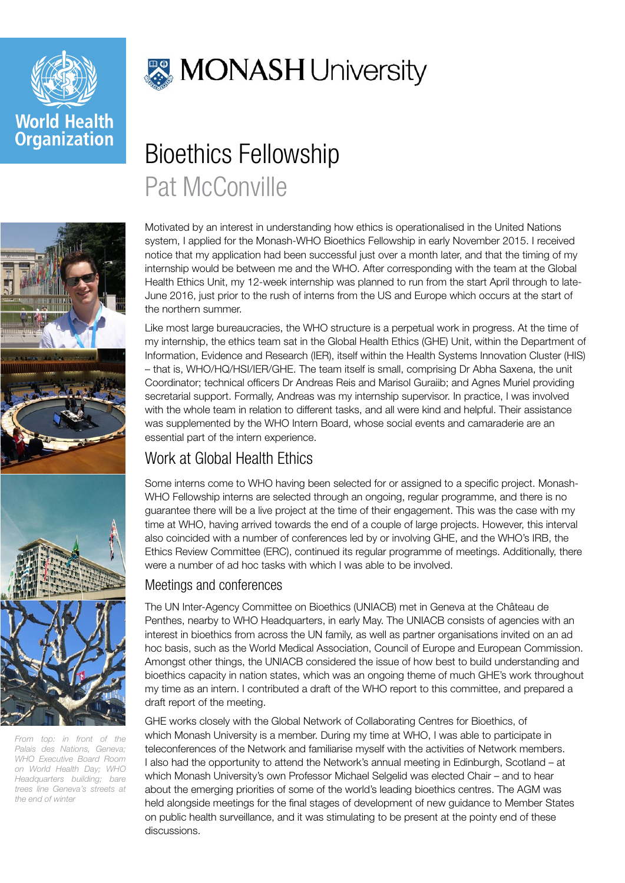



*From top: in front of the Palais des Nations, Geneva; WHO Executive Board Room on World Health Day; WHO Headquarters building; bare trees line Geneva's streets at the end of winter*



# Bioethics Fellowship Pat McConville

Motivated by an interest in understanding how ethics is operationalised in the United Nations system, I applied for the Monash-WHO Bioethics Fellowship in early November 2015. I received notice that my application had been successful just over a month later, and that the timing of my internship would be between me and the WHO. After corresponding with the team at the Global Health Ethics Unit, my 12-week internship was planned to run from the start April through to late-June 2016, just prior to the rush of interns from the US and Europe which occurs at the start of the northern summer.

Like most large bureaucracies, the WHO structure is a perpetual work in progress. At the time of my internship, the ethics team sat in the Global Health Ethics (GHE) Unit, within the Department of Information, Evidence and Research (IER), itself within the Health Systems Innovation Cluster (HIS) – that is, WHO/HQ/HSI/IER/GHE. The team itself is small, comprising Dr Abha Saxena, the unit Coordinator; technical officers Dr Andreas Reis and Marisol Guraiib; and Agnes Muriel providing secretarial support. Formally, Andreas was my internship supervisor. In practice, I was involved with the whole team in relation to different tasks, and all were kind and helpful. Their assistance was supplemented by the WHO Intern Board, whose social events and camaraderie are an essential part of the intern experience.

## Work at Global Health Ethics

Some interns come to WHO having been selected for or assigned to a specific project. Monash-WHO Fellowship interns are selected through an ongoing, regular programme, and there is no guarantee there will be a live project at the time of their engagement. This was the case with my time at WHO, having arrived towards the end of a couple of large projects. However, this interval also coincided with a number of conferences led by or involving GHE, and the WHO's IRB, the Ethics Review Committee (ERC), continued its regular programme of meetings. Additionally, there were a number of ad hoc tasks with which I was able to be involved.

#### Meetings and conferences

The UN Inter-Agency Committee on Bioethics (UNIACB) met in Geneva at the Château de Penthes, nearby to WHO Headquarters, in early May. The UNIACB consists of agencies with an interest in bioethics from across the UN family, as well as partner organisations invited on an ad hoc basis, such as the World Medical Association, Council of Europe and European Commission. Amongst other things, the UNIACB considered the issue of how best to build understanding and bioethics capacity in nation states, which was an ongoing theme of much GHE's work throughout my time as an intern. I contributed a draft of the WHO report to this committee, and prepared a draft report of the meeting.

GHE works closely with the Global Network of Collaborating Centres for Bioethics, of which Monash University is a member. During my time at WHO, I was able to participate in teleconferences of the Network and familiarise myself with the activities of Network members. I also had the opportunity to attend the Network's annual meeting in Edinburgh, Scotland – at which Monash University's own Professor Michael Selgelid was elected Chair – and to hear about the emerging priorities of some of the world's leading bioethics centres. The AGM was held alongside meetings for the final stages of development of new guidance to Member States on public health surveillance, and it was stimulating to be present at the pointy end of these discussions.